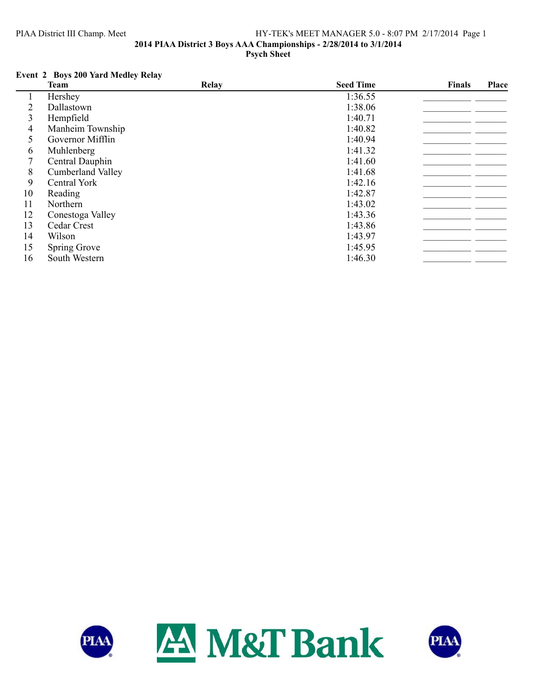## PIAA District III Champ. Meet HY-TEK's MEET MANAGER 5.0 - 8:07 PM 2/17/2014 Page 1 **2014 PIAA District 3 Boys AAA Championships - 2/28/2014 to 3/1/2014 Psych Sheet**

# **Event 2 Boys 200 Yard Medley Relay**

|    | <b>Team</b>              | Relay | <b>Seed Time</b> | <b>Finals</b> | Place |
|----|--------------------------|-------|------------------|---------------|-------|
|    | Hershey                  |       | 1:36.55          |               |       |
| 2  | Dallastown               |       | 1:38.06          |               |       |
| 3  | Hempfield                |       | 1:40.71          |               |       |
| 4  | Manheim Township         |       | 1:40.82          |               |       |
| 5  | Governor Mifflin         |       | 1:40.94          |               |       |
| 6  | Muhlenberg               |       | 1:41.32          |               |       |
| 7  | Central Dauphin          |       | 1:41.60          |               |       |
| 8  | <b>Cumberland Valley</b> |       | 1:41.68          |               |       |
| 9  | Central York             |       | 1:42.16          |               |       |
| 10 | Reading                  |       | 1:42.87          |               |       |
| 11 | Northern                 |       | 1:43.02          |               |       |
| 12 | Conestoga Valley         |       | 1:43.36          |               |       |
| 13 | Cedar Crest              |       | 1:43.86          |               |       |
| 14 | Wilson                   |       | 1:43.97          |               |       |
| 15 | Spring Grove             |       | 1:45.95          |               |       |
| 16 | South Western            |       | 1:46.30          |               |       |



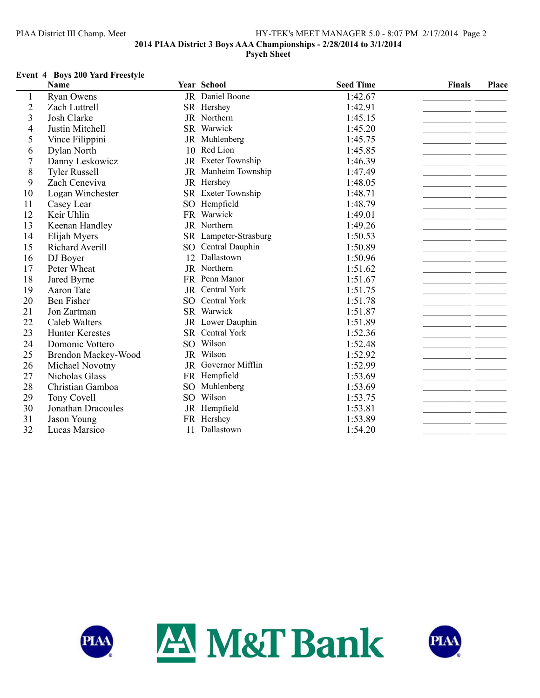## PIAA District III Champ. Meet HY-TEK's MEET MANAGER 5.0 - 8:07 PM 2/17/2014 Page 2 **2014 PIAA District 3 Boys AAA Championships - 2/28/2014 to 3/1/2014 Psych Sheet**

### **Event 4 Boys 200 Yard Freestyle**

|                | <b>Name</b>            |                 | Year School           | <b>Seed Time</b> | <b>Finals</b> | Place |
|----------------|------------------------|-----------------|-----------------------|------------------|---------------|-------|
| 1              | <b>Ryan Owens</b>      |                 | JR Daniel Boone       | 1:42.67          |               |       |
| $\overline{c}$ | Zach Luttrell          |                 | SR Hershey            | 1:42.91          |               |       |
| 3              | Josh Clarke            |                 | JR Northern           | 1:45.15          |               |       |
| 4              | Justin Mitchell        |                 | SR Warwick            | 1:45.20          |               |       |
| 5              | Vince Filippini        |                 | JR Muhlenberg         | 1:45.75          |               |       |
| 6              | Dylan North            | 10              | Red Lion              | 1:45.85          |               |       |
| $\overline{7}$ | Danny Leskowicz        |                 | JR Exeter Township    | 1:46.39          |               |       |
| 8              | <b>Tyler Russell</b>   |                 | JR Manheim Township   | 1:47.49          |               |       |
| 9              | Zach Ceneviva          |                 | JR Hershey            | 1:48.05          |               |       |
| 10             | Logan Winchester       |                 | SR Exeter Township    | 1:48.71          |               |       |
| 11             | Casey Lear             | SO <sub>1</sub> | Hempfield             | 1:48.79          |               |       |
| 12             | Keir Uhlin             |                 | FR Warwick            | 1:49.01          |               |       |
| 13             | Keenan Handley         |                 | JR Northern           | 1:49.26          |               |       |
| 14             | Elijah Myers           |                 | SR Lampeter-Strasburg | 1:50.53          |               |       |
| 15             | Richard Averill        | SO <sub>2</sub> | Central Dauphin       | 1:50.89          |               |       |
| 16             | DJ Boyer               |                 | 12 Dallastown         | 1:50.96          |               |       |
| 17             | Peter Wheat            |                 | JR Northern           | 1:51.62          |               |       |
| 18             | Jared Byrne            |                 | FR Penn Manor         | 1:51.67          |               |       |
| 19             | Aaron Tate             |                 | JR Central York       | 1:51.75          |               |       |
| 20             | <b>Ben Fisher</b>      | SO.             | Central York          | 1:51.78          |               |       |
| 21             | Jon Zartman            |                 | SR Warwick            | 1:51.87          |               |       |
| 22             | Caleb Walters          |                 | JR Lower Dauphin      | 1:51.89          |               |       |
| 23             | <b>Hunter Kerestes</b> |                 | SR Central York       | 1:52.36          |               |       |
| 24             | Domonic Vottero        |                 | SO Wilson             | 1:52.48          |               |       |
| 25             | Brendon Mackey-Wood    |                 | JR Wilson             | 1:52.92          |               |       |
| 26             | Michael Novotny        |                 | JR Governor Mifflin   | 1:52.99          |               |       |
| 27             | Nicholas Glass         |                 | FR Hempfield          | 1:53.69          |               |       |
| 28             | Christian Gamboa       | SO <sub>1</sub> | Muhlenberg            | 1:53.69          |               |       |
| 29             | Tony Covell            | SO              | Wilson                | 1:53.75          |               |       |
| 30             | Jonathan Dracoules     |                 | JR Hempfield          | 1:53.81          |               |       |
| 31             | Jason Young            |                 | FR Hershey            | 1:53.89          |               |       |
| 32             | Lucas Marsico          | 11              | Dallastown            | 1:54.20          |               |       |



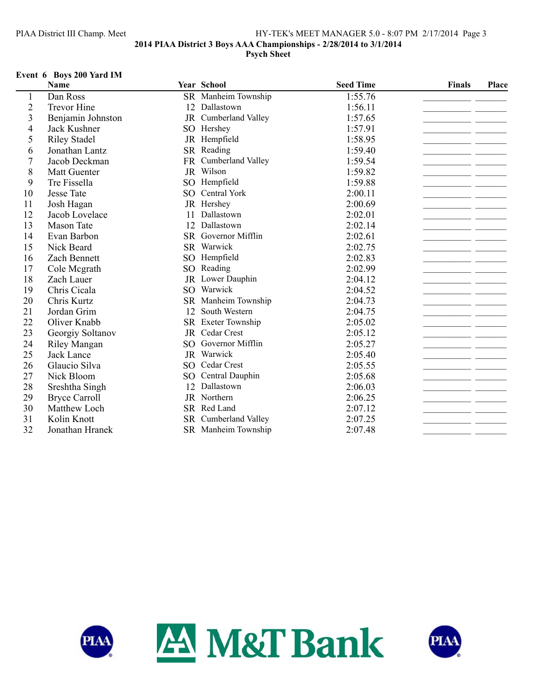## PIAA District III Champ. Meet HY-TEK's MEET MANAGER 5.0 - 8:07 PM 2/17/2014 Page 3 **2014 PIAA District 3 Boys AAA Championships - 2/28/2014 to 3/1/2014 Psych Sheet**

#### **Event 6 Boys 200 Yard IM**

|                | <b>Name</b>          |                 | Year School          | <b>Seed Time</b> | Finals | Place |
|----------------|----------------------|-----------------|----------------------|------------------|--------|-------|
| $\perp$        | Dan Ross             |                 | SR Manheim Township  | 1:55.76          |        |       |
| $\overline{2}$ | <b>Trevor Hine</b>   |                 | 12 Dallastown        | 1:56.11          |        |       |
| $\mathfrak{Z}$ | Benjamin Johnston    |                 | JR Cumberland Valley | 1:57.65          |        |       |
| $\overline{4}$ | Jack Kushner         | SO <sub>1</sub> | Hershey              | 1:57.91          |        |       |
| 5              | <b>Riley Stadel</b>  |                 | JR Hempfield         | 1:58.95          |        |       |
| 6              | Jonathan Lantz       |                 | SR Reading           | 1:59.40          |        |       |
| $\overline{7}$ | Jacob Deckman        | FR              | Cumberland Valley    | 1:59.54          |        |       |
| 8              | <b>Matt Guenter</b>  |                 | JR Wilson            | 1:59.82          |        |       |
| 9              | Tre Fissella         |                 | SO Hempfield         | 1:59.88          |        |       |
| 10             | <b>Jesse Tate</b>    |                 | SO Central York      | 2:00.11          |        |       |
| 11             | Josh Hagan           |                 | JR Hershey           | 2:00.69          |        |       |
| 12             | Jacob Lovelace       | 11              | Dallastown           | 2:02.01          |        |       |
| 13             | <b>Mason Tate</b>    | 12              | Dallastown           | 2:02.14          |        |       |
| 14             | Evan Barbon          |                 | SR Governor Mifflin  | 2:02.61          |        |       |
| 15             | Nick Beard           | <b>SR</b>       | Warwick              | 2:02.75          |        |       |
| 16             | Zach Bennett         | SO <sub>1</sub> | Hempfield            | 2:02.83          |        |       |
| 17             | Cole Mcgrath         | SO <sub>1</sub> | Reading              | 2:02.99          |        |       |
| 18             | Zach Lauer           |                 | JR Lower Dauphin     | 2:04.12          |        |       |
| 19             | Chris Cicala         | SO <sub>1</sub> | Warwick              | 2:04.52          |        |       |
| 20             | Chris Kurtz          |                 | SR Manheim Township  | 2:04.73          |        |       |
| 21             | Jordan Grim          | 12              | South Western        | 2:04.75          |        |       |
| 22             | Oliver Knabb         |                 | SR Exeter Township   | 2:05.02          |        |       |
| 23             | Georgiy Soltanov     | JR              | Cedar Crest          | 2:05.12          |        |       |
| 24             | <b>Riley Mangan</b>  | SO <sub>1</sub> | Governor Mifflin     | 2:05.27          |        |       |
| 25             | Jack Lance           |                 | JR Warwick           | 2:05.40          |        |       |
| 26             | Glaucio Silva        |                 | SO Cedar Crest       | 2:05.55          |        |       |
| 27             | Nick Bloom           | SO <sub>1</sub> | Central Dauphin      | 2:05.68          |        |       |
| 28             | Sreshtha Singh       | 12              | Dallastown           | 2:06.03          |        |       |
| 29             | <b>Bryce Carroll</b> |                 | JR Northern          | 2:06.25          |        |       |
| 30             | Matthew Loch         |                 | SR Red Land          | 2:07.12          |        |       |
| 31             | Kolin Knott          |                 | SR Cumberland Valley | 2:07.25          |        |       |
| 32             | Jonathan Hranek      |                 | SR Manheim Township  | 2:07.48          |        |       |



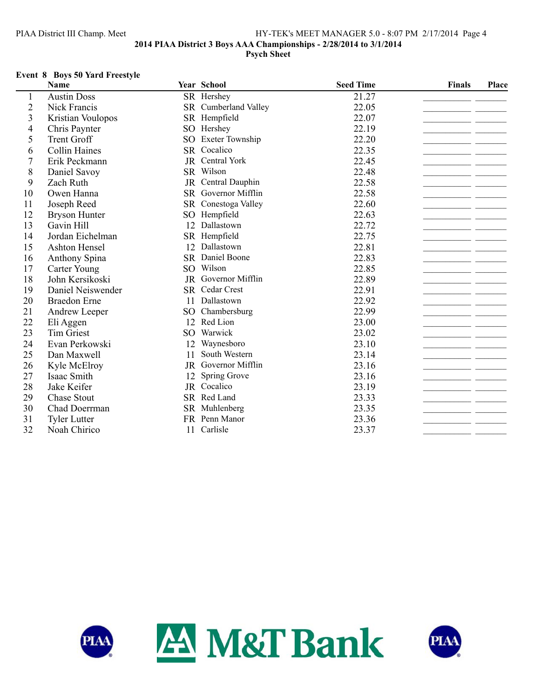# PIAA District III Champ. Meet HY-TEK's MEET MANAGER 5.0 - 8:07 PM 2/17/2014 Page 4 **2014 PIAA District 3 Boys AAA Championships - 2/28/2014 to 3/1/2014 Psych Sheet**

## **Event 8 Boys 50 Yard Freestyle**

|                | Name                 |                 | Year School          | <b>Seed Time</b> | <b>Finals</b> | Place |
|----------------|----------------------|-----------------|----------------------|------------------|---------------|-------|
| 1              | <b>Austin Doss</b>   |                 | SR Hershey           | 21.27            |               |       |
| $\overline{c}$ | Nick Francis         |                 | SR Cumberland Valley | 22.05            |               |       |
| 3              | Kristian Voulopos    | <b>SR</b>       | Hempfield            | 22.07            |               |       |
| $\overline{4}$ | Chris Paynter        | SO              | Hershey              | 22.19            |               |       |
| 5              | <b>Trent Groff</b>   | SO              | Exeter Township      | 22.20            |               |       |
| 6              | <b>Collin Haines</b> |                 | SR Cocalico          | 22.35            |               |       |
| 7              | Erik Peckmann        | JR              | <b>Central York</b>  | 22.45            |               |       |
| 8              | Daniel Savoy         |                 | SR Wilson            | 22.48            |               |       |
| 9              | Zach Ruth            |                 | JR Central Dauphin   | 22.58            |               |       |
| 10             | Owen Hanna           |                 | SR Governor Mifflin  | 22.58            |               |       |
| 11             | Joseph Reed          |                 | SR Conestoga Valley  | 22.60            |               |       |
| 12             | <b>Bryson Hunter</b> | SO              | Hempfield            | 22.63            |               |       |
| 13             | Gavin Hill           | 12              | Dallastown           | 22.72            |               |       |
| 14             | Jordan Eichelman     | SR              | Hempfield            | 22.75            |               |       |
| 15             | Ashton Hensel        | 12              | Dallastown           | 22.81            |               |       |
| 16             | Anthony Spina        |                 | SR Daniel Boone      | 22.83            |               |       |
| 17             | Carter Young         | SO <sub>2</sub> | Wilson               | 22.85            |               |       |
| 18             | John Kersikoski      | JR              | Governor Mifflin     | 22.89            |               |       |
| 19             | Daniel Neiswender    | <b>SR</b>       | Cedar Crest          | 22.91            |               |       |
| 20             | <b>Braedon</b> Erne  | 11              | Dallastown           | 22.92            |               |       |
| 21             | Andrew Leeper        | SO              | Chambersburg         | 22.99            |               |       |
| 22             | Eli Aggen            | 12              | Red Lion             | 23.00            |               |       |
| 23             | <b>Tim Griest</b>    | SO              | Warwick              | 23.02            |               |       |
| 24             | Evan Perkowski       | 12              | Waynesboro           | 23.10            |               |       |
| 25             | Dan Maxwell          | 11              | South Western        | 23.14            |               |       |
| 26             | Kyle McElroy         | JR              | Governor Mifflin     | 23.16            |               |       |
| 27             | Isaac Smith          | 12              | Spring Grove         | 23.16            |               |       |
| 28             | Jake Keifer          |                 | JR Cocalico          | 23.19            |               |       |
| 29             | <b>Chase Stout</b>   |                 | SR Red Land          | 23.33            |               |       |
| 30             | Chad Doerrman        |                 | SR Muhlenberg        | 23.35            |               |       |
| 31             | <b>Tyler Lutter</b>  |                 | FR Penn Manor        | 23.36            |               |       |
| 32             | Noah Chirico         | 11              | Carlisle             | 23.37            |               |       |



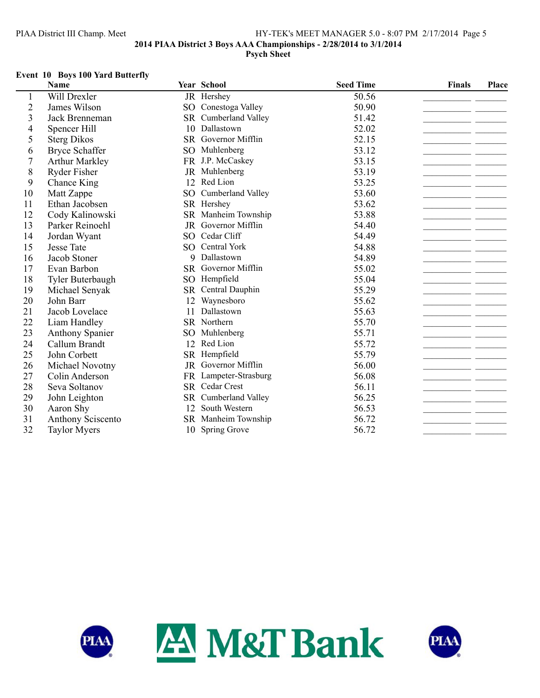# PIAA District III Champ. Meet HY-TEK's MEET MANAGER 5.0 - 8:07 PM 2/17/2014 Page 5 **2014 PIAA District 3 Boys AAA Championships - 2/28/2014 to 3/1/2014 Psych Sheet**

#### **Event 10 Boys 100 Yard Butterfly**

|                | <b>Name</b>            |           | Year School           | <b>Seed Time</b> | <b>Finals</b> | Place |
|----------------|------------------------|-----------|-----------------------|------------------|---------------|-------|
|                | Will Drexler           |           | JR Hershey            | 50.56            |               |       |
| $\overline{2}$ | James Wilson           | SO        | Conestoga Valley      | 50.90            |               |       |
| $\overline{3}$ | Jack Brenneman         |           | SR Cumberland Valley  | 51.42            |               |       |
| $\overline{4}$ | <b>Spencer Hill</b>    | 10        | Dallastown            | 52.02            |               |       |
| 5              | <b>Sterg Dikos</b>     |           | SR Governor Mifflin   | 52.15            |               |       |
| 6              | <b>Bryce Schaffer</b>  | SO        | Muhlenberg            | 53.12            |               |       |
| $\overline{7}$ | <b>Arthur Markley</b>  |           | FR J.P. McCaskey      | 53.15            |               |       |
| 8              | <b>Ryder Fisher</b>    |           | JR Muhlenberg         | 53.19            |               |       |
| 9              | Chance King            | 12        | Red Lion              | 53.25            |               |       |
| 10             | Matt Zappe             | SO        | Cumberland Valley     | 53.60            |               |       |
| 11             | Ethan Jacobsen         |           | SR Hershey            | 53.62            |               |       |
| 12             | Cody Kalinowski        |           | SR Manheim Township   | 53.88            |               |       |
| 13             | Parker Reinoehl        | JR        | Governor Mifflin      | 54.40            |               |       |
| 14             | Jordan Wyant           | SO.       | Cedar Cliff           | 54.49            |               |       |
| 15             | <b>Jesse Tate</b>      |           | SO Central York       | 54.88            |               |       |
| 16             | Jacob Stoner           | 9         | Dallastown            | 54.89            |               |       |
| 17             | Evan Barbon            |           | SR Governor Mifflin   | 55.02            |               |       |
| 18             | Tyler Buterbaugh       |           | SO Hempfield          | 55.04            |               |       |
| 19             | Michael Senyak         | <b>SR</b> | Central Dauphin       | 55.29            |               |       |
| 20             | John Barr              | 12        | Waynesboro            | 55.62            |               |       |
| 21             | Jacob Lovelace         | 11        | Dallastown            | 55.63            |               |       |
| 22             | Liam Handley           |           | SR Northern           | 55.70            |               |       |
| 23             | <b>Anthony Spanier</b> | SO        | Muhlenberg            | 55.71            |               |       |
| 24             | Callum Brandt          | 12        | Red Lion              | 55.72            |               |       |
| 25             | John Corbett           |           | SR Hempfield          | 55.79            |               |       |
| 26             | Michael Novotny        |           | JR Governor Mifflin   | 56.00            |               |       |
| 27             | Colin Anderson         |           | FR Lampeter-Strasburg | 56.08            |               |       |
| 28             | Seva Soltanov          |           | SR Cedar Crest        | 56.11            |               |       |
| 29             | John Leighton          | SR        | Cumberland Valley     | 56.25            |               |       |
| 30             | Aaron Shy              | 12        | South Western         | 56.53            |               |       |
| 31             | Anthony Sciscento      |           | SR Manheim Township   | 56.72            |               |       |
| 32             | <b>Taylor Myers</b>    | 10        | Spring Grove          | 56.72            |               |       |



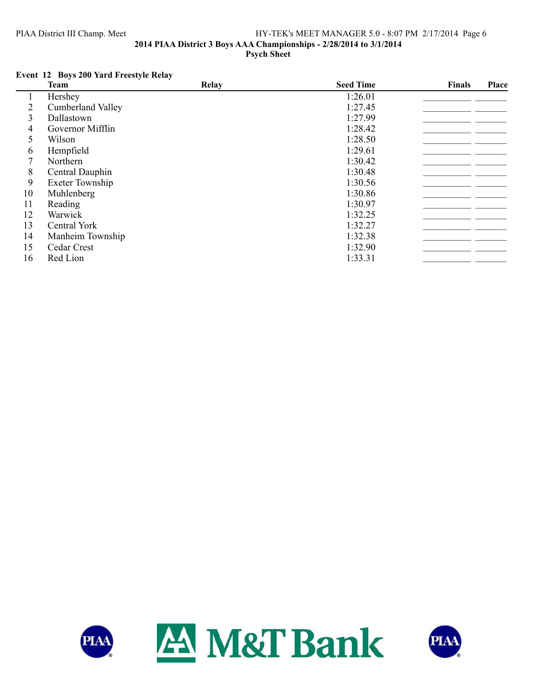## PIAA District III Champ. Meet HY-TEK's MEET MANAGER 5.0 - 8:07 PM 2/17/2014 Page 6 **2014 PIAA District 3 Boys AAA Championships - 2/28/2014 to 3/1/2014 Psych Sheet**

# **Event 12 Boys 200 Yard Freestyle Relay**

|    | Team                     | Relay | <b>Seed Time</b> | Finals | <b>Place</b> |
|----|--------------------------|-------|------------------|--------|--------------|
|    | Hershey                  |       | 1:26.01          |        |              |
| 2  | <b>Cumberland Valley</b> |       | 1:27.45          |        |              |
| 3  | Dallastown               |       | 1:27.99          |        |              |
| 4  | Governor Mifflin         |       | 1:28.42          |        |              |
| 5  | Wilson                   |       | 1:28.50          |        |              |
| 6  | Hempfield                |       | 1:29.61          |        |              |
|    | Northern                 |       | 1:30.42          |        |              |
| 8  | Central Dauphin          |       | 1:30.48          |        |              |
| 9  | Exeter Township          |       | 1:30.56          |        |              |
| 10 | Muhlenberg               |       | 1:30.86          |        |              |
| 11 | Reading                  |       | 1:30.97          |        |              |
| 12 | Warwick                  |       | 1:32.25          |        |              |
| 13 | Central York             |       | 1:32.27          |        |              |
| 14 | Manheim Township         |       | 1:32.38          |        |              |
| 15 | Cedar Crest              |       | 1:32.90          |        |              |
| 16 | Red Lion                 |       | 1:33.31          |        |              |



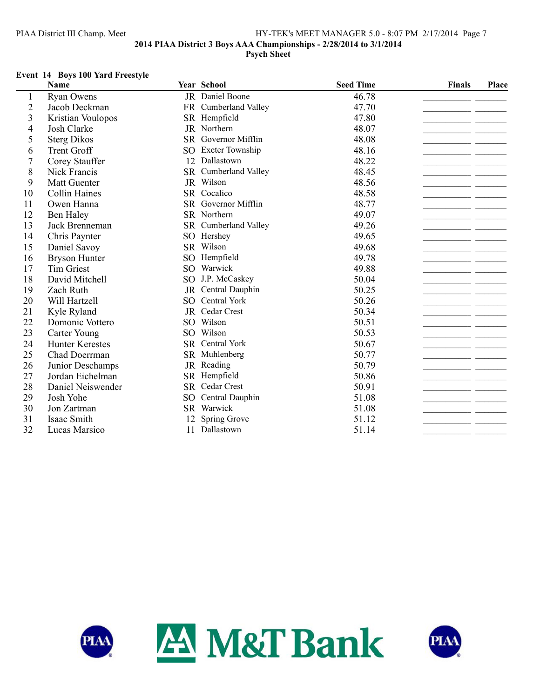# PIAA District III Champ. Meet HY-TEK's MEET MANAGER 5.0 - 8:07 PM 2/17/2014 Page 7 **2014 PIAA District 3 Boys AAA Championships - 2/28/2014 to 3/1/2014 Psych Sheet**

## **Event 14 Boys 100 Yard Freestyle**

|                | Name                   |                 | Year School          | <b>Seed Time</b> | <b>Finals</b> | Place |
|----------------|------------------------|-----------------|----------------------|------------------|---------------|-------|
| 1              | <b>Ryan Owens</b>      |                 | JR Daniel Boone      | 46.78            |               |       |
| $\overline{c}$ | Jacob Deckman          |                 | FR Cumberland Valley | 47.70            |               |       |
| 3              | Kristian Voulopos      | SR              | Hempfield            | 47.80            |               |       |
| $\overline{4}$ | Josh Clarke            |                 | JR Northern          | 48.07            |               |       |
| 5              | <b>Sterg Dikos</b>     |                 | SR Governor Mifflin  | 48.08            |               |       |
| 6              | <b>Trent Groff</b>     |                 | SO Exeter Township   | 48.16            |               |       |
| 7              | Corey Stauffer         | 12              | Dallastown           | 48.22            |               |       |
| 8              | Nick Francis           |                 | SR Cumberland Valley | 48.45            |               |       |
| 9              | <b>Matt Guenter</b>    |                 | JR Wilson            | 48.56            |               |       |
| 10             | <b>Collin Haines</b>   |                 | SR Cocalico          | 48.58            |               |       |
| 11             | Owen Hanna             |                 | SR Governor Mifflin  | 48.77            |               |       |
| 12             | <b>Ben Haley</b>       |                 | SR Northern          | 49.07            |               |       |
| 13             | Jack Brenneman         |                 | SR Cumberland Valley | 49.26            |               |       |
| 14             | Chris Paynter          |                 | SO Hershey           | 49.65            |               |       |
| 15             | Daniel Savoy           |                 | SR Wilson            | 49.68            |               |       |
| 16             | <b>Bryson Hunter</b>   | SO <sub>2</sub> | Hempfield            | 49.78            |               |       |
| 17             | Tim Griest             |                 | SO Warwick           | 49.88            |               |       |
| 18             | David Mitchell         |                 | SO J.P. McCaskey     | 50.04            |               |       |
| 19             | Zach Ruth              | <b>JR</b>       | Central Dauphin      | 50.25            |               |       |
| 20             | Will Hartzell          | SO              | Central York         | 50.26            |               |       |
| 21             | Kyle Ryland            |                 | JR Cedar Crest       | 50.34            |               |       |
| 22             | Domonic Vottero        |                 | SO Wilson            | 50.51            |               |       |
| 23             | Carter Young           |                 | SO Wilson            | 50.53            |               |       |
| 24             | <b>Hunter Kerestes</b> |                 | SR Central York      | 50.67            |               |       |
| 25             | Chad Doerrman          |                 | SR Muhlenberg        | 50.77            |               |       |
| 26             | Junior Deschamps       | <b>JR</b>       | Reading              | 50.79            |               |       |
| 27             | Jordan Eichelman       | <b>SR</b>       | Hempfield            | 50.86            |               |       |
| 28             | Daniel Neiswender      |                 | SR Cedar Crest       | 50.91            |               |       |
| 29             | Josh Yohe              | SO              | Central Dauphin      | 51.08            |               |       |
| 30             | Jon Zartman            |                 | SR Warwick           | 51.08            |               |       |
| 31             | Isaac Smith            | 12              | Spring Grove         | 51.12            |               |       |
| 32             | Lucas Marsico          | 11              | Dallastown           | 51.14            |               |       |



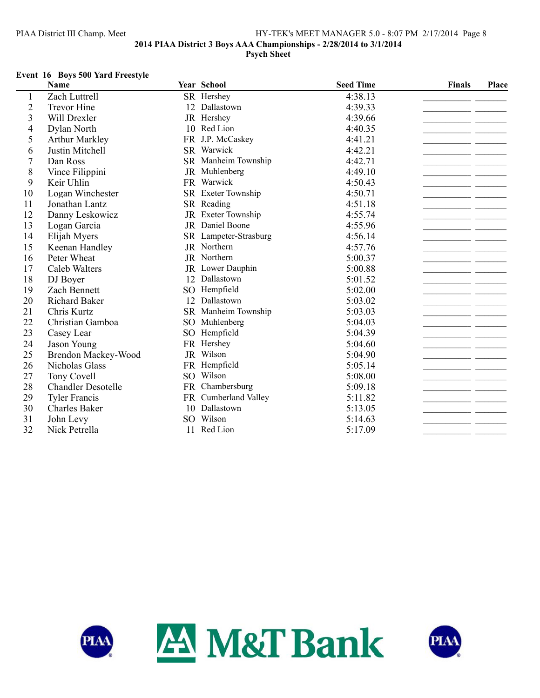# PIAA District III Champ. Meet HY-TEK's MEET MANAGER 5.0 - 8:07 PM 2/17/2014 Page 8 **2014 PIAA District 3 Boys AAA Championships - 2/28/2014 to 3/1/2014 Psych Sheet**

### **Event 16 Boys 500 Yard Freestyle**

|                | <b>Name</b>               |                 | Year School           | <b>Seed Time</b> | <b>Finals</b> | Place |
|----------------|---------------------------|-----------------|-----------------------|------------------|---------------|-------|
| 1              | Zach Luttrell             |                 | SR Hershey            | 4:38.13          |               |       |
| $\overline{c}$ | <b>Trevor Hine</b>        |                 | 12 Dallastown         | 4:39.33          |               |       |
| 3              | Will Drexler              |                 | JR Hershey            | 4:39.66          |               |       |
| $\overline{4}$ | Dylan North               | 10              | Red Lion              | 4:40.35          |               |       |
| 5              | <b>Arthur Markley</b>     |                 | FR J.P. McCaskey      | 4:41.21          |               |       |
| 6              | Justin Mitchell           |                 | SR Warwick            | 4:42.21          |               |       |
| $\overline{7}$ | Dan Ross                  |                 | SR Manheim Township   | 4:42.71          |               |       |
| 8              | Vince Filippini           |                 | JR Muhlenberg         | 4:49.10          |               |       |
| 9              | Keir Uhlin                |                 | FR Warwick            | 4:50.43          |               |       |
| 10             | Logan Winchester          |                 | SR Exeter Township    | 4:50.71          |               |       |
| 11             | Jonathan Lantz            |                 | SR Reading            | 4:51.18          |               |       |
| 12             | Danny Leskowicz           |                 | JR Exeter Township    | 4:55.74          |               |       |
| 13             | Logan Garcia              |                 | JR Daniel Boone       | 4:55.96          |               |       |
| 14             | Elijah Myers              |                 | SR Lampeter-Strasburg | 4:56.14          |               |       |
| 15             | Keenan Handley            |                 | JR Northern           | 4:57.76          |               |       |
| 16             | Peter Wheat               |                 | JR Northern           | 5:00.37          |               |       |
| 17             | Caleb Walters             |                 | JR Lower Dauphin      | 5:00.88          |               |       |
| 18             | DJ Boyer                  | 12              | Dallastown            | 5:01.52          |               |       |
| 19             | Zach Bennett              |                 | SO Hempfield          | 5:02.00          |               |       |
| 20             | <b>Richard Baker</b>      | 12              | Dallastown            | 5:03.02          |               |       |
| 21             | Chris Kurtz               |                 | SR Manheim Township   | 5:03.03          |               |       |
| 22             | Christian Gamboa          | SO <sub>1</sub> | Muhlenberg            | 5:04.03          |               |       |
| 23             | Casey Lear                |                 | SO Hempfield          | 5:04.39          |               |       |
| 24             | Jason Young               |                 | FR Hershey            | 5:04.60          |               |       |
| 25             | Brendon Mackey-Wood       |                 | JR Wilson             | 5:04.90          |               |       |
| 26             | Nicholas Glass            |                 | FR Hempfield          | 5:05.14          |               |       |
| 27             | Tony Covell               |                 | SO Wilson             | 5:08.00          |               |       |
| 28             | <b>Chandler Desotelle</b> |                 | FR Chambersburg       | 5:09.18          |               |       |
| 29             | <b>Tyler Francis</b>      |                 | FR Cumberland Valley  | 5:11.82          |               |       |
| 30             | <b>Charles Baker</b>      | 10              | Dallastown            | 5:13.05          |               |       |
| 31             | John Levy                 |                 | SO Wilson             | 5:14.63          |               |       |
| 32             | Nick Petrella             | 11              | Red Lion              | 5:17.09          |               |       |



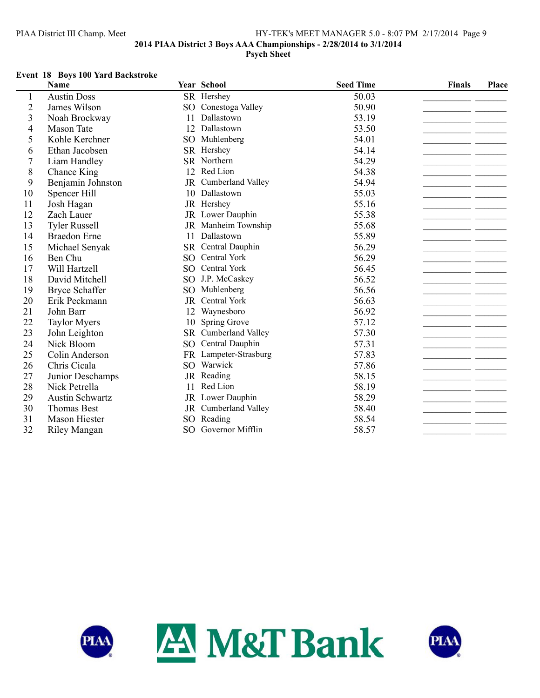## PIAA District III Champ. Meet HY-TEK's MEET MANAGER 5.0 - 8:07 PM 2/17/2014 Page 9 **2014 PIAA District 3 Boys AAA Championships - 2/28/2014 to 3/1/2014 Psych Sheet**

#### **Event 18 Boys 100 Yard Backstroke**

|                         | Name                   |                 | Year School           | <b>Seed Time</b> | <b>Finals</b><br>Place |  |
|-------------------------|------------------------|-----------------|-----------------------|------------------|------------------------|--|
| 1                       | <b>Austin Doss</b>     |                 | SR Hershey            | 50.03            |                        |  |
| $\overline{2}$          | James Wilson           | SO <sub>1</sub> | Conestoga Valley      | 50.90            |                        |  |
| $\overline{\mathbf{3}}$ | Noah Brockway          | 11              | Dallastown            | 53.19            |                        |  |
| 4                       | <b>Mason Tate</b>      | 12              | Dallastown            | 53.50            |                        |  |
| 5                       | Kohle Kerchner         | SO <sub>1</sub> | Muhlenberg            | 54.01            |                        |  |
| 6                       | Ethan Jacobsen         |                 | SR Hershey            | 54.14            |                        |  |
| $\overline{7}$          | Liam Handley           |                 | SR Northern           | 54.29            |                        |  |
| 8                       | Chance King            | 12              | Red Lion              | 54.38            |                        |  |
| 9                       | Benjamin Johnston      |                 | JR Cumberland Valley  | 54.94            |                        |  |
| 10                      | Spencer Hill           | 10              | Dallastown            | 55.03            |                        |  |
| 11                      | Josh Hagan             |                 | JR Hershey            | 55.16            |                        |  |
| 12                      | Zach Lauer             |                 | JR Lower Dauphin      | 55.38            |                        |  |
| 13                      | <b>Tyler Russell</b>   |                 | JR Manheim Township   | 55.68            |                        |  |
| 14                      | <b>Braedon</b> Erne    | 11              | Dallastown            | 55.89            |                        |  |
| 15                      | Michael Senyak         |                 | SR Central Dauphin    | 56.29            |                        |  |
| 16                      | Ben Chu                | SO <sub>1</sub> | Central York          | 56.29            |                        |  |
| 17                      | Will Hartzell          | SO <sub>1</sub> | Central York          | 56.45            |                        |  |
| 18                      | David Mitchell         |                 | SO J.P. McCaskey      | 56.52            |                        |  |
| 19                      | <b>Bryce Schaffer</b>  | SO <sub>1</sub> | Muhlenberg            | 56.56            |                        |  |
| 20                      | Erik Peckmann          | <b>JR</b>       | Central York          | 56.63            |                        |  |
| 21                      | John Barr              | 12              | Waynesboro            | 56.92            |                        |  |
| 22                      | <b>Taylor Myers</b>    | 10              | Spring Grove          | 57.12            |                        |  |
| 23                      | John Leighton          |                 | SR Cumberland Valley  | 57.30            |                        |  |
| 24                      | Nick Bloom             | SO <sub>.</sub> | Central Dauphin       | 57.31            |                        |  |
| 25                      | Colin Anderson         |                 | FR Lampeter-Strasburg | 57.83            |                        |  |
| 26                      | Chris Cicala           |                 | SO Warwick            | 57.86            |                        |  |
| 27                      | Junior Deschamps       |                 | JR Reading            | 58.15            |                        |  |
| 28                      | Nick Petrella          | 11              | Red Lion              | 58.19            |                        |  |
| 29                      | <b>Austin Schwartz</b> |                 | JR Lower Dauphin      | 58.29            |                        |  |
| 30                      | <b>Thomas Best</b>     | JR              | Cumberland Valley     | 58.40            |                        |  |
| 31                      | <b>Mason Hiester</b>   | SO <sub>1</sub> | Reading               | 58.54            |                        |  |
| 32                      | <b>Riley Mangan</b>    | SO <sub>1</sub> | Governor Mifflin      | 58.57            |                        |  |



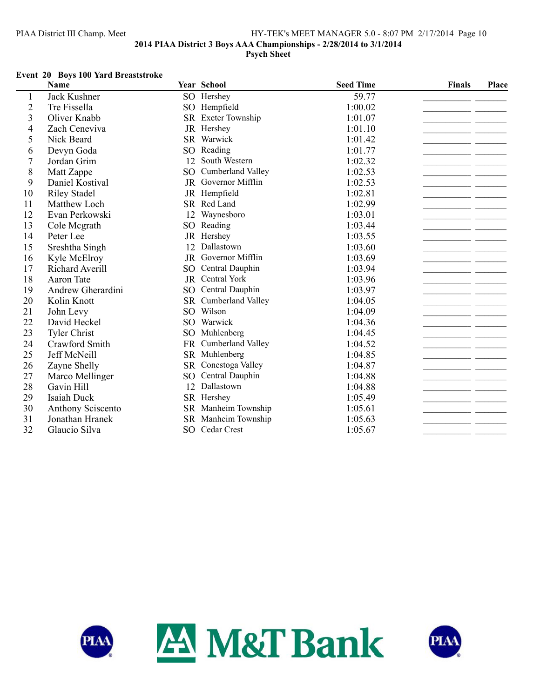## PIAA District III Champ. Meet HY-TEK's MEET MANAGER 5.0 - 8:07 PM 2/17/2014 Page 10 **2014 PIAA District 3 Boys AAA Championships - 2/28/2014 to 3/1/2014 Psych Sheet**

#### **Event 20 Boys 100 Yard Breaststroke**

|                         | Name                |                 | Year School          | <b>Seed Time</b> | <b>Finals</b> | Place |
|-------------------------|---------------------|-----------------|----------------------|------------------|---------------|-------|
| 1                       | Jack Kushner        |                 | SO Hershey           | 59.77            |               |       |
| $\overline{c}$          | Tre Fissella        | SO <sub>1</sub> | Hempfield            | 1:00.02          |               |       |
| $\overline{\mathbf{3}}$ | Oliver Knabb        |                 | SR Exeter Township   | 1:01.07          |               |       |
| $\overline{4}$          | Zach Ceneviva       | JR              | Hershey              | 1:01.10          |               |       |
| 5                       | Nick Beard          |                 | SR Warwick           | 1:01.42          |               |       |
| 6                       | Devyn Goda          | SO <sub>1</sub> | Reading              | 1:01.77          |               |       |
| $\overline{7}$          | Jordan Grim         | 12              | South Western        | 1:02.32          |               |       |
| 8                       | Matt Zappe          | SO.             | Cumberland Valley    | 1:02.53          |               |       |
| 9                       | Daniel Kostival     |                 | JR Governor Mifflin  | 1:02.53          |               |       |
| 10                      | <b>Riley Stadel</b> |                 | JR Hempfield         | 1:02.81          |               |       |
| 11                      | Matthew Loch        |                 | SR Red Land          | 1:02.99          |               |       |
| 12                      | Evan Perkowski      | 12              | Waynesboro           | 1:03.01          |               |       |
| 13                      | Cole Mcgrath        | SO              | Reading              | 1:03.44          |               |       |
| 14                      | Peter Lee           |                 | JR Hershey           | 1:03.55          |               |       |
| 15                      | Sreshtha Singh      | 12              | Dallastown           | 1:03.60          |               |       |
| 16                      | Kyle McElroy        |                 | JR Governor Mifflin  | 1:03.69          |               |       |
| 17                      | Richard Averill     | SO <sub>1</sub> | Central Dauphin      | 1:03.94          |               |       |
| 18                      | Aaron Tate          |                 | JR Central York      | 1:03.96          |               |       |
| 19                      | Andrew Gherardini   | SO <sub>1</sub> | Central Dauphin      | 1:03.97          |               |       |
| 20                      | Kolin Knott         | <b>SR</b>       | Cumberland Valley    | 1:04.05          |               |       |
| 21                      | John Levy           | SO <sub>1</sub> | Wilson               | 1:04.09          |               |       |
| 22                      | David Heckel        |                 | SO Warwick           | 1:04.36          |               |       |
| 23                      | <b>Tyler Christ</b> | SO.             | Muhlenberg           | 1:04.45          |               |       |
| 24                      | Crawford Smith      |                 | FR Cumberland Valley | 1:04.52          |               |       |
| 25                      | Jeff McNeill        |                 | SR Muhlenberg        | 1:04.85          |               |       |
| 26                      | Zayne Shelly        |                 | SR Conestoga Valley  | 1:04.87          |               |       |
| 27                      | Marco Mellinger     | SO.             | Central Dauphin      | 1:04.88          |               |       |
| 28                      | Gavin Hill          |                 | 12 Dallastown        | 1:04.88          |               |       |
| 29                      | Isaiah Duck         |                 | SR Hershey           | 1:05.49          |               |       |
| 30                      | Anthony Sciscento   | <b>SR</b>       | Manheim Township     | 1:05.61          |               |       |
| 31                      | Jonathan Hranek     |                 | SR Manheim Township  | 1:05.63          |               |       |
| 32                      | Glaucio Silva       |                 | SO Cedar Crest       | 1:05.67          |               |       |